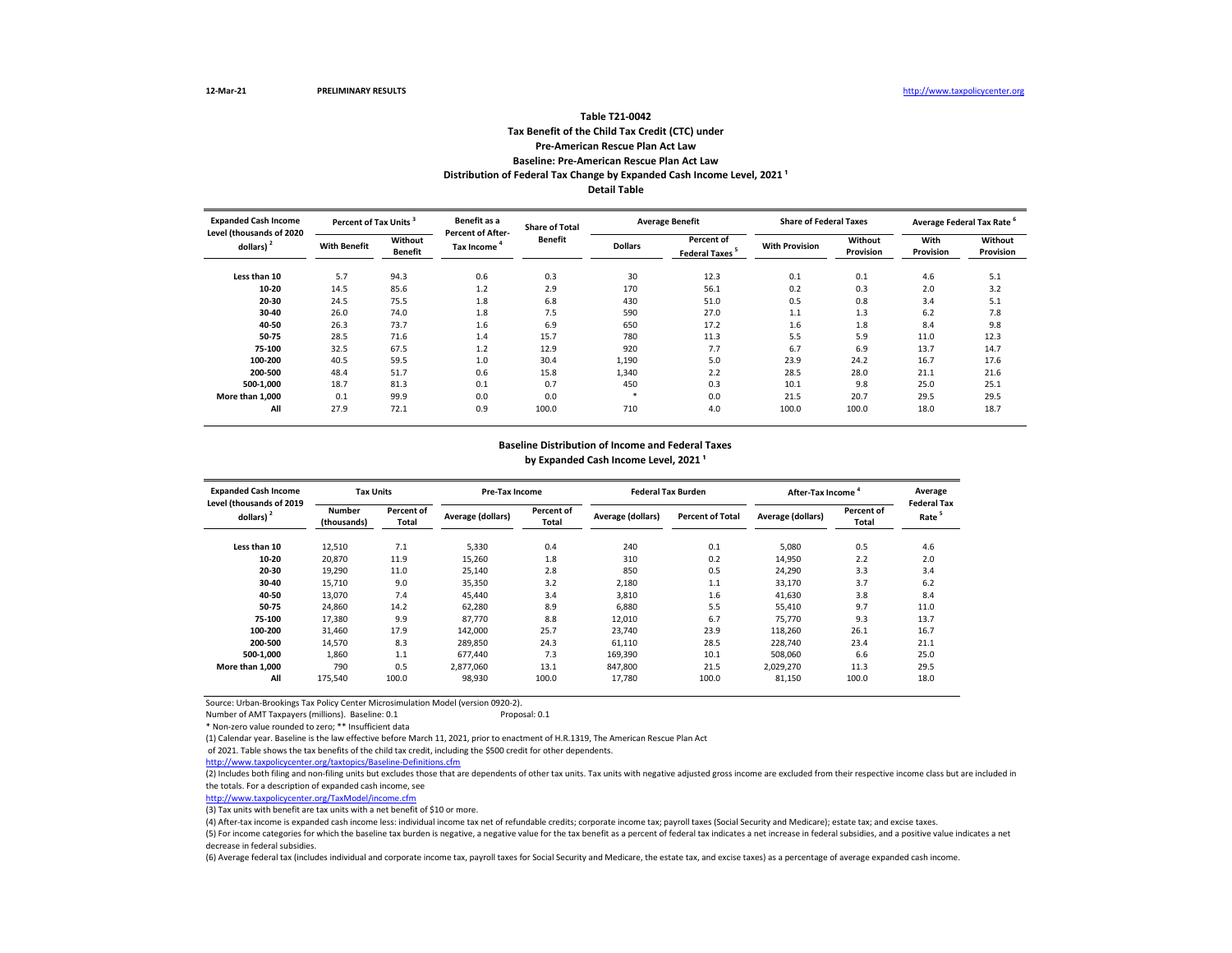## **Tax Benefit of the Child Tax Credit (CTC) under Pre-American Rescue Plan Act Law Baseline: Pre-American Rescue Plan Act Law Table T21-0042 Distribution of Federal Tax Change by Expanded Cash Income Level, 2021 ¹ Detail Table**

**Less than 10** 5.7 94.3 0.6 0.3 30 12.3 0.1 0.1 4.6 5.1 **10-20** 14.5 85.6 1.2 2.9 170 56.1 0.2 0.3 2.0 3.2 **20-30** 24.5 75.5 1.8 6.8 430 51.0 0.5 0.8 3.4 5.1 **30-40** 26.0 74.0 1.8 7.5 590 27.0 1.1 1.3 6.2 7.8 **40-50** 26.3 73.7 1.6 6.9 650 17.2 1.6 1.8 8.4 9.8 **50-75** 28.5 71.6 1.4 15.7 780 11.3 5.5 5.9 11.0 12.3 **75-100** 32.5 67.5 1.2 12.9 920 7.7 6.7 6.9 13.7 14.7 **100-200** 40.5 59.5 1.0 30.4 1,190 5.0 23.9 24.2 16.7 17.6 **200-500** 48.4 51.7 0.6 15.8 1,340 2.2 28.5 28.0 21.1 21.6 **500-1,000** 18.7 81.3 0.1 0.7 450 0.3 10.1 9.8 25.0 25.1 **More than 1,000** 0.1 99.9 0.0 0.0 \* 0.0 21.5 20.7 29.5 29.5 **All** 27.9 72.1 0.9 100.0 710 4.0 100.0 100.0 18.0 18.7 **Average Federal Tax Rate <sup>6</sup> With Benefit Without Benefit Dollars**<br> **Benefit Dollars Percent of Federal Taxes**<sup>5</sup> **19.12 With Provision 19.14 Without Provision Provision With Provision Without Provision Expanded Cash Income Level (thousands of 2020 dollars) <sup>2</sup> Percent of Tax Units <sup>3</sup> Benefit as a Percent of After-Share of Total Benefit Average Benefit Share of Federal Taxes**

#### **Baseline Distribution of Income and Federal Taxes**

by Expanded Cash Income Level, 2021<sup>1</sup>

| <b>Expanded Cash Income</b>              | <b>Tax Units</b>             |                     |                   | Pre-Tax Income      |                   | <b>Federal Tax Burden</b> | After-Tax Income  |                     | Average                                 |
|------------------------------------------|------------------------------|---------------------|-------------------|---------------------|-------------------|---------------------------|-------------------|---------------------|-----------------------------------------|
| Level (thousands of 2019<br>dollars) $2$ | <b>Number</b><br>(thousands) | Percent of<br>Total | Average (dollars) | Percent of<br>Total | Average (dollars) | <b>Percent of Total</b>   | Average (dollars) | Percent of<br>Total | <b>Federal Tax</b><br>Rate <sup>5</sup> |
| Less than 10                             | 12,510                       | 7.1                 | 5,330             | 0.4                 | 240               | 0.1                       | 5,080             | 0.5                 | 4.6                                     |
| 10-20                                    | 20,870                       | 11.9                | 15,260            | 1.8                 | 310               | 0.2                       | 14.950            | 2.2                 | 2.0                                     |
| 20-30                                    | 19,290                       | 11.0                | 25,140            | 2.8                 | 850               | 0.5                       | 24.290            | 3.3                 | 3.4                                     |
| 30-40                                    | 15.710                       | 9.0                 | 35,350            | 3.2                 | 2,180             | 1.1                       | 33,170            | 3.7                 | 6.2                                     |
| 40-50                                    | 13,070                       | 7.4                 | 45,440            | 3.4                 | 3,810             | 1.6                       | 41,630            | 3.8                 | 8.4                                     |
| 50-75                                    | 24,860                       | 14.2                | 62,280            | 8.9                 | 6,880             | 5.5                       | 55,410            | 9.7                 | 11.0                                    |
| 75-100                                   | 17,380                       | 9.9                 | 87,770            | 8.8                 | 12,010            | 6.7                       | 75,770            | 9.3                 | 13.7                                    |
| 100-200                                  | 31,460                       | 17.9                | 142.000           | 25.7                | 23.740            | 23.9                      | 118.260           | 26.1                | 16.7                                    |
| 200-500                                  | 14,570                       | 8.3                 | 289,850           | 24.3                | 61,110            | 28.5                      | 228,740           | 23.4                | 21.1                                    |
| 500-1.000                                | 1.860                        | 1.1                 | 677.440           | 7.3                 | 169.390           | 10.1                      | 508.060           | 6.6                 | 25.0                                    |
| More than 1.000                          | 790                          | 0.5                 | 2,877,060         | 13.1                | 847,800           | 21.5                      | 2,029,270         | 11.3                | 29.5                                    |
| All                                      | 175,540                      | 100.0               | 98,930            | 100.0               | 17,780            | 100.0                     | 81,150            | 100.0               | 18.0                                    |

Source: Urban-Brookings Tax Policy Center Microsimulation Model (version 0920-2).

Number of AMT Taxpayers (millions). Baseline: 0.1 Proposal: 0.1

\* Non-zero value rounded to zero; \*\* Insufficient data

(1) Calendar year. Baseline is the law effective before March 11, 2021, prior to enactment of H.R.1319, The American Rescue Plan Act

of 2021. Table shows the tax benefits of the child tax credit, including the \$500 credit for other dependents.

<http://www.taxpolicycenter.org/taxtopics/Baseline-Definitions.cfm>

(2) Includes both filing and non-filing units but excludes those that are dependents of other tax units. Tax units with negative adjusted gross income are excluded from their respective income class but are included in the totals. For a description of expanded cash income, see

[http://www.taxpolicycente](http://www.taxpolicycenter.org/TaxModel/income.cfm)r.org/TaxModel/income.cfm

(3) Tax units with benefit are tax units with a net benefit of \$10 or more.

(4) After-tax income is expanded cash income less: individual income tax net of refundable credits; corporate income tax; payroll taxes (Social Security and Medicare); estate tax; and excise taxes.

(5) For income categories for which the baseline tax burden is negative, a negative value for the tax benefit as a percent of federal tax indicates a net increase in federal subsidies, and a positive value indicates a net decrease in federal subsidies.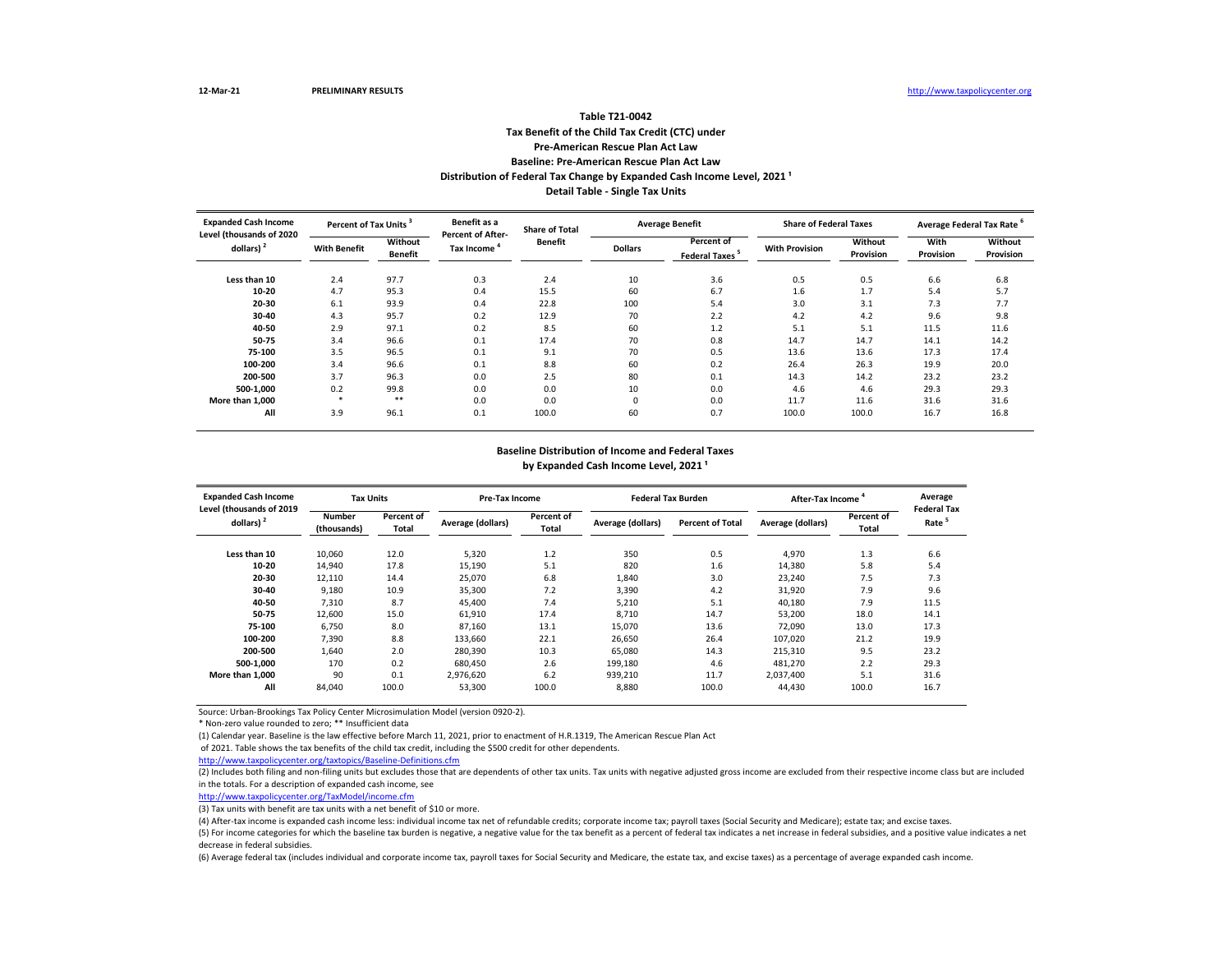# **Tax Benefit of the Child Tax Credit (CTC) under Pre-American Rescue Plan Act Law Baseline: Pre-American Rescue Plan Act Law Table T21-0042 Distribution of Federal Tax Change by Expanded Cash Income Level, 2021 ¹ Detail Table - Single Tax Units**

| <b>Expanded Cash Income</b><br>Level (thousands of 2020 | Percent of Tax Units |                           | Benefit as a<br>Percent of After- | <b>Share of Total</b> |                | <b>Average Benefit</b>             | <b>Share of Federal Taxes</b> |                      | Average Federal Tax Rate |                      |
|---------------------------------------------------------|----------------------|---------------------------|-----------------------------------|-----------------------|----------------|------------------------------------|-------------------------------|----------------------|--------------------------|----------------------|
| dollars)                                                | <b>With Benefit</b>  | Without<br><b>Benefit</b> | Tax Income                        | <b>Benefit</b>        | <b>Dollars</b> | Percent of<br><b>Federal Taxes</b> | <b>With Provision</b>         | Without<br>Provision | With<br>Provision        | Without<br>Provision |
| Less than 10                                            | 2.4                  | 97.7                      | 0.3                               | 2.4                   | 10             | 3.6                                | 0.5                           | 0.5                  | 6.6                      | 6.8                  |
| 10-20                                                   | 4.7                  | 95.3                      | 0.4                               | 15.5                  | 60             | 6.7                                | 1.6                           | 1.7                  | 5.4                      | 5.7                  |
| 20-30                                                   | 6.1                  | 93.9                      | 0.4                               | 22.8                  | 100            | 5.4                                | 3.0                           | 3.1                  | 7.3                      | 7.7                  |
| 30-40                                                   | 4.3                  | 95.7                      | 0.2                               | 12.9                  | 70             | 2.2                                | 4.2                           | 4.2                  | 9.6                      | 9.8                  |
| 40-50                                                   | 2.9                  | 97.1                      | 0.2                               | 8.5                   | 60             | 1.2                                | 5.1                           | 5.1                  | 11.5                     | 11.6                 |
| 50-75                                                   | 3.4                  | 96.6                      | 0.1                               | 17.4                  | 70             | 0.8                                | 14.7                          | 14.7                 | 14.1                     | 14.2                 |
| 75-100                                                  | 3.5                  | 96.5                      | 0.1                               | 9.1                   | 70             | 0.5                                | 13.6                          | 13.6                 | 17.3                     | 17.4                 |
| 100-200                                                 | 3.4                  | 96.6                      | 0.1                               | 8.8                   | 60             | 0.2                                | 26.4                          | 26.3                 | 19.9                     | 20.0                 |
| 200-500                                                 | 3.7                  | 96.3                      | 0.0                               | 2.5                   | 80             | 0.1                                | 14.3                          | 14.2                 | 23.2                     | 23.2                 |
| 500-1,000                                               | 0.2                  | 99.8                      | 0.0                               | 0.0                   | 10             | 0.0                                | 4.6                           | 4.6                  | 29.3                     | 29.3                 |
| More than 1.000                                         | - 20                 | **                        | 0.0                               | 0.0                   | $\mathbf 0$    | 0.0                                | 11.7                          | 11.6                 | 31.6                     | 31.6                 |
| All                                                     | 3.9                  | 96.1                      | 0.1                               | 100.0                 | 60             | 0.7                                | 100.0                         | 100.0                | 16.7                     | 16.8                 |

#### **Baseline Distribution of Income and Federal Taxes** by Expanded Cash Income Level, 2021<sup>1</sup>

| <b>Expanded Cash Income</b>              | <b>Tax Units</b>             |                     |                   | <b>Pre-Tax Income</b> |                   | <b>Federal Tax Burden</b> | After-Tax Income <sup>4</sup> |                     | Average                                 |
|------------------------------------------|------------------------------|---------------------|-------------------|-----------------------|-------------------|---------------------------|-------------------------------|---------------------|-----------------------------------------|
| Level (thousands of 2019<br>dollars) $2$ | <b>Number</b><br>(thousands) | Percent of<br>Total | Average (dollars) | Percent of<br>Total   | Average (dollars) | <b>Percent of Total</b>   | Average (dollars)             | Percent of<br>Total | <b>Federal Tax</b><br>Rate <sup>5</sup> |
| Less than 10                             | 10,060                       | 12.0                | 5,320             | 1.2                   | 350               | 0.5                       | 4,970                         | 1.3                 | 6.6                                     |
| 10-20                                    | 14,940                       | 17.8                | 15,190            | 5.1                   | 820               | 1.6                       | 14,380                        | 5.8                 | 5.4                                     |
| 20-30                                    | 12,110                       | 14.4                | 25,070            | 6.8                   | 1,840             | 3.0                       | 23,240                        | 7.5                 | 7.3                                     |
| 30-40                                    | 9,180                        | 10.9                | 35,300            | 7.2                   | 3,390             | 4.2                       | 31,920                        | 7.9                 | 9.6                                     |
| 40-50                                    | 7,310                        | 8.7                 | 45,400            | 7.4                   | 5,210             | 5.1                       | 40,180                        | 7.9                 | 11.5                                    |
| 50-75                                    | 12,600                       | 15.0                | 61,910            | 17.4                  | 8,710             | 14.7                      | 53,200                        | 18.0                | 14.1                                    |
| 75-100                                   | 6,750                        | 8.0                 | 87,160            | 13.1                  | 15,070            | 13.6                      | 72,090                        | 13.0                | 17.3                                    |
| 100-200                                  | 7,390                        | 8.8                 | 133,660           | 22.1                  | 26,650            | 26.4                      | 107,020                       | 21.2                | 19.9                                    |
| 200-500                                  | 1,640                        | 2.0                 | 280,390           | 10.3                  | 65,080            | 14.3                      | 215,310                       | 9.5                 | 23.2                                    |
| 500-1.000                                | 170                          | 0.2                 | 680.450           | 2.6                   | 199,180           | 4.6                       | 481.270                       | 2.2                 | 29.3                                    |
| More than 1.000                          | 90                           | 0.1                 | 2,976,620         | 6.2                   | 939,210           | 11.7                      | 2,037,400                     | 5.1                 | 31.6                                    |
| All                                      | 84,040                       | 100.0               | 53,300            | 100.0                 | 8,880             | 100.0                     | 44,430                        | 100.0               | 16.7                                    |

Source: Urban-Brookings Tax Policy Center Microsimulation Model (version 0920-2).

\* Non-zero value rounded to zero; \*\* Insufficient data

(1) Calendar year. Baseline is the law effective before March 11, 2021, prior to enactment of H.R.1319, The American Rescue Plan Act

of 2021. Table shows the tax benefits of the child tax credit, including the \$500 credit for other dependents.

<http://www.taxpolicycenter.org/taxtopics/Baseline-Definitions.cfm>

(2) Includes both filing and non-filing units but excludes those that are dependents of other tax units. Tax units with negative adjusted gross income are excluded from their respective income class but are included in the totals. For a description of expanded cash income, see

[http://www.taxpolicycente](http://www.taxpolicycenter.org/TaxModel/income.cfm)r.org/TaxModel/income.cfm

(3) Tax units with benefit are tax units with a net benefit of \$10 or more.

(4) After-tax income is expanded cash income less: individual income tax net of refundable credits; corporate income tax; payroll taxes (Social Security and Medicare); estate tax; and excise taxes.

(5) For income categories for which the baseline tax burden is negative, a negative value for the tax benefit as a percent of federal tax indicates a net increase in federal subsidies, and a positive value indicates a net decrease in federal subsidies.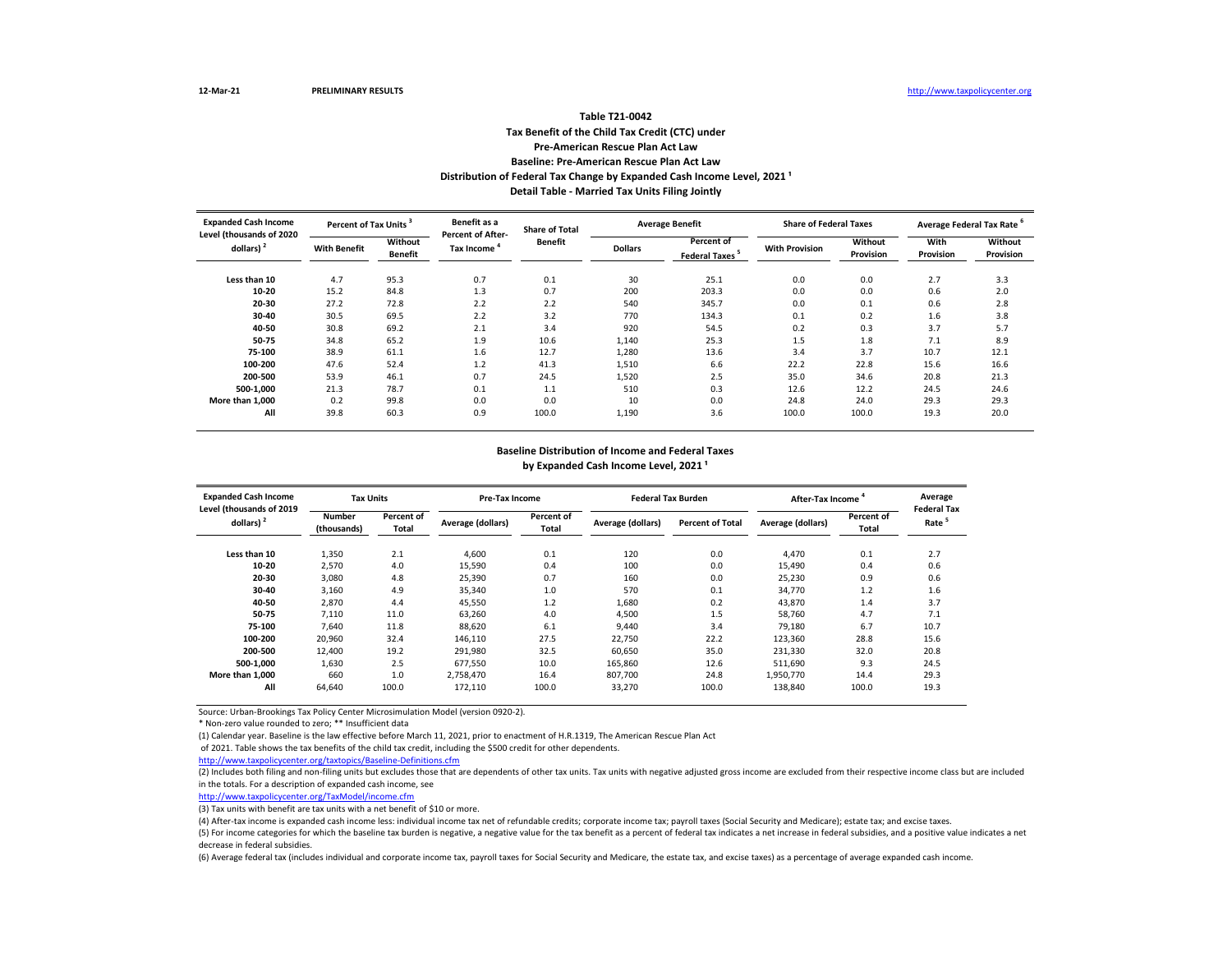# **Tax Benefit of the Child Tax Credit (CTC) under Pre-American Rescue Plan Act Law Baseline: Pre-American Rescue Plan Act Law Table T21-0042** Distribution of Federal Tax Change by Expanded Cash Income Level, 2021<sup>1</sup> **Detail Table - Married Tax Units Filing Jointly**

| <b>Expanded Cash Income</b><br>Level (thousands of 2020 | Percent of Tax Units <sup>3</sup> |                           | Benefit as a<br><b>Percent of After-</b> | <b>Share of Total</b> |                | <b>Average Benefit</b>             | <b>Share of Federal Taxes</b> |                      | Average Federal Tax Rate <sup>6</sup> |                      |
|---------------------------------------------------------|-----------------------------------|---------------------------|------------------------------------------|-----------------------|----------------|------------------------------------|-------------------------------|----------------------|---------------------------------------|----------------------|
| dollars) $2$                                            | <b>With Benefit</b>               | Without<br><b>Benefit</b> | Tax Income                               | <b>Benefit</b>        | <b>Dollars</b> | Percent of<br><b>Federal Taxes</b> | <b>With Provision</b>         | Without<br>Provision | With<br>Provision                     | Without<br>Provision |
| Less than 10                                            | 4.7                               | 95.3                      | 0.7                                      | 0.1                   | 30             | 25.1                               | 0.0                           | 0.0                  | 2.7                                   | 3.3                  |
| 10-20                                                   | 15.2                              | 84.8                      | 1.3                                      | 0.7                   | 200            | 203.3                              | 0.0                           | 0.0                  | 0.6                                   | 2.0                  |
| 20-30                                                   | 27.2                              | 72.8                      | 2.2                                      | 2.2                   | 540            | 345.7                              | 0.0                           | 0.1                  | 0.6                                   | 2.8                  |
| 30-40                                                   | 30.5                              | 69.5                      | 2.2                                      | 3.2                   | 770            | 134.3                              | 0.1                           | 0.2                  | 1.6                                   | 3.8                  |
| 40-50                                                   | 30.8                              | 69.2                      | 2.1                                      | 3.4                   | 920            | 54.5                               | 0.2                           | 0.3                  | 3.7                                   | 5.7                  |
| 50-75                                                   | 34.8                              | 65.2                      | 1.9                                      | 10.6                  | 1,140          | 25.3                               | 1.5                           | 1.8                  | 7.1                                   | 8.9                  |
| 75-100                                                  | 38.9                              | 61.1                      | 1.6                                      | 12.7                  | 1,280          | 13.6                               | 3.4                           | 3.7                  | 10.7                                  | 12.1                 |
| 100-200                                                 | 47.6                              | 52.4                      | 1.2                                      | 41.3                  | 1,510          | 6.6                                | 22.2                          | 22.8                 | 15.6                                  | 16.6                 |
| 200-500                                                 | 53.9                              | 46.1                      | 0.7                                      | 24.5                  | 1,520          | 2.5                                | 35.0                          | 34.6                 | 20.8                                  | 21.3                 |
| 500-1.000                                               | 21.3                              | 78.7                      | 0.1                                      | 1.1                   | 510            | 0.3                                | 12.6                          | 12.2                 | 24.5                                  | 24.6                 |
| More than 1.000                                         | 0.2                               | 99.8                      | 0.0                                      | 0.0                   | 10             | 0.0                                | 24.8                          | 24.0                 | 29.3                                  | 29.3                 |
| All                                                     | 39.8                              | 60.3                      | 0.9                                      | 100.0                 | 1,190          | 3.6                                | 100.0                         | 100.0                | 19.3                                  | 20.0                 |

#### **Baseline Distribution of Income and Federal Taxes** by Expanded Cash Income Level, 2021<sup>1</sup>

| <b>Expanded Cash Income</b>              | <b>Tax Units</b>             |                     |                   | <b>Pre-Tax Income</b> |                   | <b>Federal Tax Burden</b> | After-Tax Income <sup>4</sup> |                     | Average                                 |
|------------------------------------------|------------------------------|---------------------|-------------------|-----------------------|-------------------|---------------------------|-------------------------------|---------------------|-----------------------------------------|
| Level (thousands of 2019<br>dollars) $2$ | <b>Number</b><br>(thousands) | Percent of<br>Total | Average (dollars) | Percent of<br>Total   | Average (dollars) | <b>Percent of Total</b>   | Average (dollars)             | Percent of<br>Total | <b>Federal Tax</b><br>Rate <sup>5</sup> |
| Less than 10                             | 1,350                        | 2.1                 | 4,600             | 0.1                   | 120               | 0.0                       | 4,470                         | 0.1                 | 2.7                                     |
| 10-20                                    | 2,570                        | 4.0                 | 15,590            | 0.4                   | 100               | 0.0                       | 15.490                        | 0.4                 | 0.6                                     |
| 20-30                                    | 3,080                        | 4.8                 | 25,390            | 0.7                   | 160               | 0.0                       | 25,230                        | 0.9                 | 0.6                                     |
| 30-40                                    | 3,160                        | 4.9                 | 35,340            | 1.0                   | 570               | 0.1                       | 34,770                        | 1.2                 | 1.6                                     |
| 40-50                                    | 2,870                        | 4.4                 | 45,550            | 1.2                   | 1,680             | 0.2                       | 43,870                        | 1.4                 | 3.7                                     |
| 50-75                                    | 7,110                        | 11.0                | 63,260            | 4.0                   | 4,500             | 1.5                       | 58,760                        | 4.7                 | 7.1                                     |
| 75-100                                   | 7,640                        | 11.8                | 88,620            | 6.1                   | 9,440             | 3.4                       | 79,180                        | 6.7                 | 10.7                                    |
| 100-200                                  | 20,960                       | 32.4                | 146,110           | 27.5                  | 22,750            | 22.2                      | 123,360                       | 28.8                | 15.6                                    |
| 200-500                                  | 12,400                       | 19.2                | 291,980           | 32.5                  | 60,650            | 35.0                      | 231,330                       | 32.0                | 20.8                                    |
| 500-1.000                                | 1.630                        | 2.5                 | 677.550           | 10.0                  | 165,860           | 12.6                      | 511.690                       | 9.3                 | 24.5                                    |
| More than 1.000                          | 660                          | 1.0                 | 2,758,470         | 16.4                  | 807,700           | 24.8                      | 1,950,770                     | 14.4                | 29.3                                    |
| All                                      | 64,640                       | 100.0               | 172,110           | 100.0                 | 33,270            | 100.0                     | 138,840                       | 100.0               | 19.3                                    |

Source: Urban-Brookings Tax Policy Center Microsimulation Model (version 0920-2).

\* Non-zero value rounded to zero; \*\* Insufficient data

(1) Calendar year. Baseline is the law effective before March 11, 2021, prior to enactment of H.R.1319, The American Rescue Plan Act

of 2021. Table shows the tax benefits of the child tax credit, including the \$500 credit for other dependents.

<http://www.taxpolicycenter.org/taxtopics/Baseline-Definitions.cfm>

(2) Includes both filing and non-filing units but excludes those that are dependents of other tax units. Tax units with negative adjusted gross income are excluded from their respective income class but are included in the totals. For a description of expanded cash income, see

[http://www.taxpolicycente](http://www.taxpolicycenter.org/TaxModel/income.cfm)r.org/TaxModel/income.cfm

(3) Tax units with benefit are tax units with a net benefit of \$10 or more.

(4) After-tax income is expanded cash income less: individual income tax net of refundable credits; corporate income tax; payroll taxes (Social Security and Medicare); estate tax; and excise taxes.

(5) For income categories for which the baseline tax burden is negative, a negative value for the tax benefit as a percent of federal tax indicates a net increase in federal subsidies, and a positive value indicates a net decrease in federal subsidies.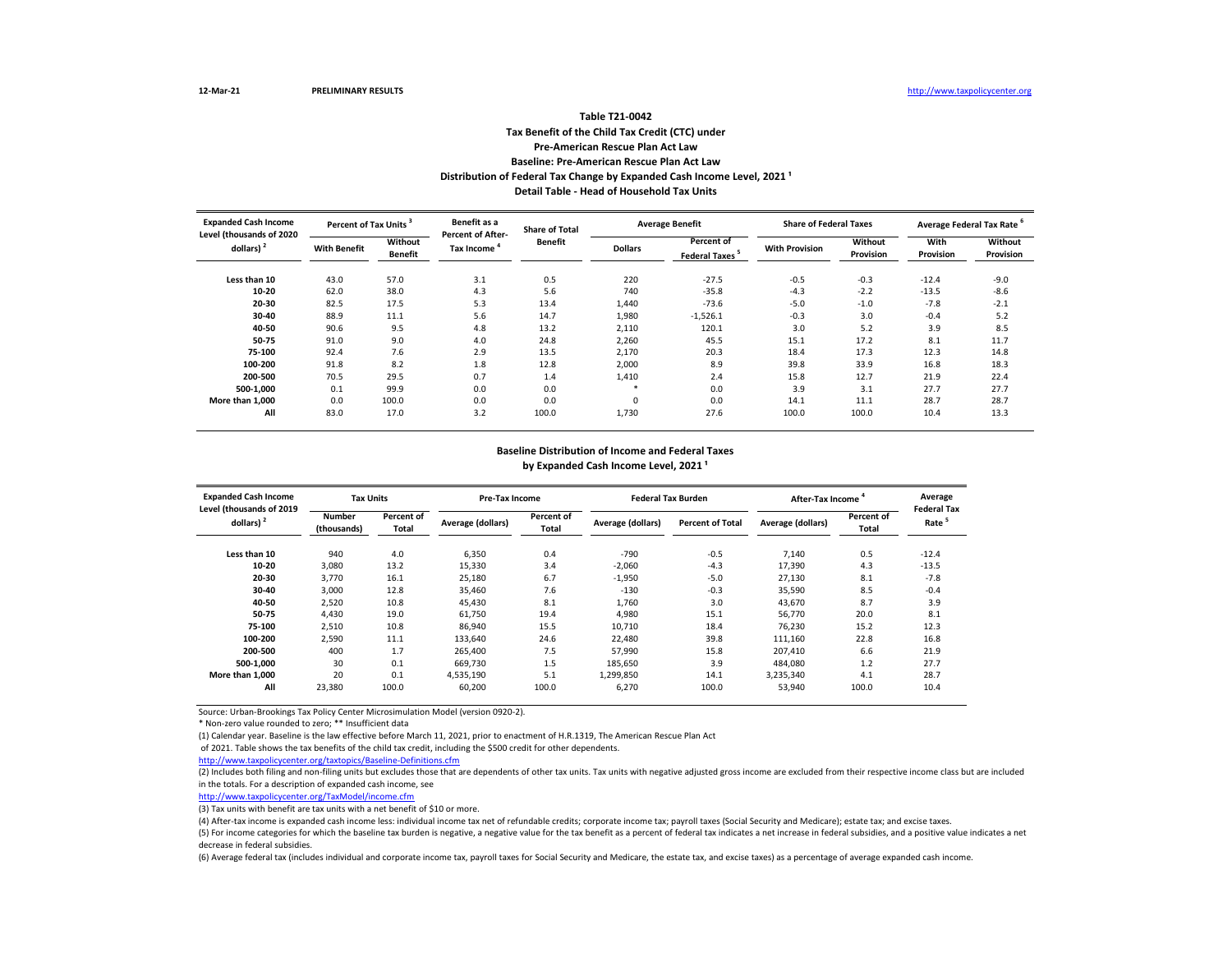## **Tax Benefit of the Child Tax Credit (CTC) under Pre-American Rescue Plan Act Law Baseline: Pre-American Rescue Plan Act Law Table T21-0042 Distribution of Federal Tax Change by Expanded Cash Income Level, 2021 ¹ Detail Table - Head of Household Tax Units**

| <b>Expanded Cash Income</b><br>Level (thousands of 2020 | Percent of Tax Units <sup>3</sup> |                           | Benefit as a<br><b>Percent of After-</b> | <b>Share of Total</b> |                | <b>Average Benefit</b>             | <b>Share of Federal Taxes</b> |                      | Average Federal Tax Rate |                      |
|---------------------------------------------------------|-----------------------------------|---------------------------|------------------------------------------|-----------------------|----------------|------------------------------------|-------------------------------|----------------------|--------------------------|----------------------|
| dollars) <sup>2</sup>                                   | <b>With Benefit</b>               | Without<br><b>Benefit</b> | Tax Income                               | <b>Benefit</b>        | <b>Dollars</b> | Percent of<br><b>Federal Taxes</b> | <b>With Provision</b>         | Without<br>Provision | With<br>Provision        | Without<br>Provision |
| Less than 10                                            | 43.0                              | 57.0                      | 3.1                                      | 0.5                   | 220            | $-27.5$                            | $-0.5$                        | $-0.3$               | $-12.4$                  | $-9.0$               |
| 10-20                                                   | 62.0                              | 38.0                      | 4.3                                      | 5.6                   | 740            | $-35.8$                            | $-4.3$                        | $-2.2$               | $-13.5$                  | $-8.6$               |
| 20-30                                                   | 82.5                              | 17.5                      | 5.3                                      | 13.4                  | 1,440          | $-73.6$                            | $-5.0$                        | $-1.0$               | $-7.8$                   | $-2.1$               |
| 30-40                                                   | 88.9                              | 11.1                      | 5.6                                      | 14.7                  | 1,980          | $-1,526.1$                         | $-0.3$                        | 3.0                  | $-0.4$                   | 5.2                  |
| 40-50                                                   | 90.6                              | 9.5                       | 4.8                                      | 13.2                  | 2,110          | 120.1                              | 3.0                           | 5.2                  | 3.9                      | 8.5                  |
| 50-75                                                   | 91.0                              | 9.0                       | 4.0                                      | 24.8                  | 2,260          | 45.5                               | 15.1                          | 17.2                 | 8.1                      | 11.7                 |
| 75-100                                                  | 92.4                              | 7.6                       | 2.9                                      | 13.5                  | 2,170          | 20.3                               | 18.4                          | 17.3                 | 12.3                     | 14.8                 |
| 100-200                                                 | 91.8                              | 8.2                       | 1.8                                      | 12.8                  | 2,000          | 8.9                                | 39.8                          | 33.9                 | 16.8                     | 18.3                 |
| 200-500                                                 | 70.5                              | 29.5                      | 0.7                                      | 1.4                   | 1,410          | 2.4                                | 15.8                          | 12.7                 | 21.9                     | 22.4                 |
| 500-1.000                                               | 0.1                               | 99.9                      | 0.0                                      | 0.0                   | $\ast$         | 0.0                                | 3.9                           | 3.1                  | 27.7                     | 27.7                 |
| More than 1.000                                         | 0.0                               | 100.0                     | 0.0                                      | 0.0                   | $\Omega$       | 0.0                                | 14.1                          | 11.1                 | 28.7                     | 28.7                 |
| All                                                     | 83.0                              | 17.0                      | 3.2                                      | 100.0                 | 1,730          | 27.6                               | 100.0                         | 100.0                | 10.4                     | 13.3                 |

#### **Baseline Distribution of Income and Federal Taxes** by Expanded Cash Income Level, 2021<sup>1</sup>

| <b>Expanded Cash Income</b>                       | <b>Tax Units</b>                             |       | <b>Pre-Tax Income</b> |                     |                   | <b>Federal Tax Burden</b> | After-Tax Income  |                     | Average                                 |
|---------------------------------------------------|----------------------------------------------|-------|-----------------------|---------------------|-------------------|---------------------------|-------------------|---------------------|-----------------------------------------|
| Level (thousands of 2019<br>dollars) <sup>2</sup> | Percent of<br>Number<br>Total<br>(thousands) |       | Average (dollars)     | Percent of<br>Total | Average (dollars) | <b>Percent of Total</b>   | Average (dollars) | Percent of<br>Total | <b>Federal Tax</b><br>Rate <sup>5</sup> |
| Less than 10                                      | 940                                          | 4.0   | 6,350                 | 0.4                 | $-790$            | $-0.5$                    | 7,140             | 0.5                 | $-12.4$                                 |
| 10-20                                             | 3,080                                        | 13.2  | 15,330                | 3.4                 | $-2,060$          | $-4.3$                    | 17,390            | 4.3                 | $-13.5$                                 |
| 20-30                                             | 3.770                                        | 16.1  | 25,180                | 6.7                 | $-1,950$          | $-5.0$                    | 27,130            | 8.1                 | $-7.8$                                  |
| 30-40                                             | 3,000                                        | 12.8  | 35,460                | 7.6                 | $-130$            | $-0.3$                    | 35,590            | 8.5                 | $-0.4$                                  |
| 40-50                                             | 2,520                                        | 10.8  | 45,430                | 8.1                 | 1,760             | 3.0                       | 43,670            | 8.7                 | 3.9                                     |
| 50-75                                             | 4,430                                        | 19.0  | 61,750                | 19.4                | 4,980             | 15.1                      | 56,770            | 20.0                | 8.1                                     |
| 75-100                                            | 2,510                                        | 10.8  | 86,940                | 15.5                | 10,710            | 18.4                      | 76.230            | 15.2                | 12.3                                    |
| 100-200                                           | 2,590                                        | 11.1  | 133,640               | 24.6                | 22,480            | 39.8                      | 111,160           | 22.8                | 16.8                                    |
| 200-500                                           | 400                                          | 1.7   | 265,400               | 7.5                 | 57,990            | 15.8                      | 207,410           | 6.6                 | 21.9                                    |
| 500-1.000                                         | 30                                           | 0.1   | 669,730               | 1.5                 | 185,650           | 3.9                       | 484.080           | 1.2                 | 27.7                                    |
| More than 1.000                                   | 20                                           | 0.1   | 4,535,190             | 5.1                 | 1,299,850         | 14.1                      | 3,235,340         | 4.1                 | 28.7                                    |
| All                                               | 23,380                                       | 100.0 | 60,200                | 100.0               | 6,270             | 100.0                     | 53,940            | 100.0               | 10.4                                    |

Source: Urban-Brookings Tax Policy Center Microsimulation Model (version 0920-2).

\* Non-zero value rounded to zero; \*\* Insufficient data

(1) Calendar year. Baseline is the law effective before March 11, 2021, prior to enactment of H.R.1319, The American Rescue Plan Act

of 2021. Table shows the tax benefits of the child tax credit, including the \$500 credit for other dependents.

<http://www.taxpolicycenter.org/taxtopics/Baseline-Definitions.cfm>

(2) Includes both filing and non-filing units but excludes those that are dependents of other tax units. Tax units with negative adjusted gross income are excluded from their respective income class but are included in the totals. For a description of expanded cash income, see

[http://www.taxpolicycente](http://www.taxpolicycenter.org/TaxModel/income.cfm)r.org/TaxModel/income.cfm

(3) Tax units with benefit are tax units with a net benefit of \$10 or more.

(4) After-tax income is expanded cash income less: individual income tax net of refundable credits; corporate income tax; payroll taxes (Social Security and Medicare); estate tax; and excise taxes.

(5) For income categories for which the baseline tax burden is negative, a negative value for the tax benefit as a percent of federal tax indicates a net increase in federal subsidies, and a positive value indicates a net decrease in federal subsidies.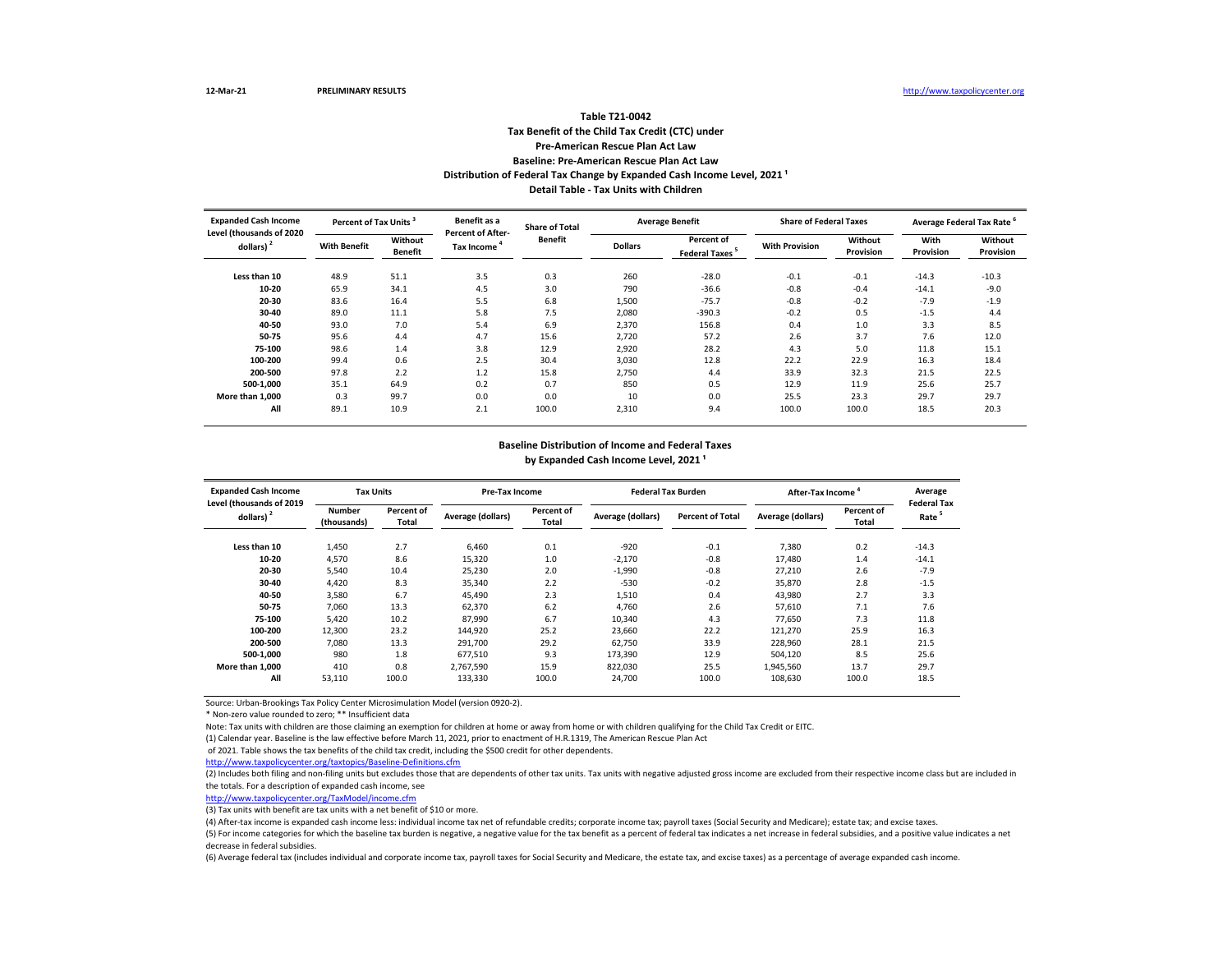## **Tax Benefit of the Child Tax Credit (CTC) under Pre-American Rescue Plan Act Law Baseline: Pre-American Rescue Plan Act Law Table T21-0042** Distribution of Federal Tax Change by Expanded Cash Income Level, 2021<sup>1</sup> **Detail Table - Tax Units with Children**

| <b>Expanded Cash Income</b><br>Level (thousands of 2020 | Percent of Tax Units <sup>3</sup> |                           | Benefit as a<br><b>Percent of After-</b> | <b>Share of Total</b> |                | <b>Average Benefit</b>                   | <b>Share of Federal Taxes</b> |                      | Average Federal Tax Rate |                      |
|---------------------------------------------------------|-----------------------------------|---------------------------|------------------------------------------|-----------------------|----------------|------------------------------------------|-------------------------------|----------------------|--------------------------|----------------------|
| dollars)                                                | <b>With Benefit</b>               | Without<br><b>Benefit</b> | Tax Income                               | Benefit               | <b>Dollars</b> | Percent of<br>Federal Taxes <sup>5</sup> | <b>With Provision</b>         | Without<br>Provision | With<br>Provision        | Without<br>Provision |
| Less than 10                                            | 48.9                              | 51.1                      | 3.5                                      | 0.3                   | 260            | $-28.0$                                  | $-0.1$                        | $-0.1$               | $-14.3$                  | $-10.3$              |
| 10-20                                                   | 65.9                              | 34.1                      | 4.5                                      | 3.0                   | 790            | $-36.6$                                  | $-0.8$                        | $-0.4$               | $-14.1$                  | $-9.0$               |
| 20-30                                                   | 83.6                              | 16.4                      | 5.5                                      | 6.8                   | 1,500          | $-75.7$                                  | $-0.8$                        | $-0.2$               | $-7.9$                   | $-1.9$               |
| 30-40                                                   | 89.0                              | 11.1                      | 5.8                                      | 7.5                   | 2,080          | $-390.3$                                 | $-0.2$                        | 0.5                  | $-1.5$                   | 4.4                  |
| 40-50                                                   | 93.0                              | 7.0                       | 5.4                                      | 6.9                   | 2,370          | 156.8                                    | 0.4                           | 1.0                  | 3.3                      | 8.5                  |
| 50-75                                                   | 95.6                              | 4.4                       | 4.7                                      | 15.6                  | 2,720          | 57.2                                     | 2.6                           | 3.7                  | 7.6                      | 12.0                 |
| 75-100                                                  | 98.6                              | 1.4                       | 3.8                                      | 12.9                  | 2,920          | 28.2                                     | 4.3                           | 5.0                  | 11.8                     | 15.1                 |
| 100-200                                                 | 99.4                              | 0.6                       | 2.5                                      | 30.4                  | 3,030          | 12.8                                     | 22.2                          | 22.9                 | 16.3                     | 18.4                 |
| 200-500                                                 | 97.8                              | 2.2                       | 1.2                                      | 15.8                  | 2,750          | 4.4                                      | 33.9                          | 32.3                 | 21.5                     | 22.5                 |
| 500-1.000                                               | 35.1                              | 64.9                      | 0.2                                      | 0.7                   | 850            | 0.5                                      | 12.9                          | 11.9                 | 25.6                     | 25.7                 |
| More than 1.000                                         | 0.3                               | 99.7                      | 0.0                                      | 0.0                   | 10             | 0.0                                      | 25.5                          | 23.3                 | 29.7                     | 29.7                 |
| All                                                     | 89.1                              | 10.9                      | 2.1                                      | 100.0                 | 2,310          | 9.4                                      | 100.0                         | 100.0                | 18.5                     | 20.3                 |

#### **Baseline Distribution of Income and Federal Taxes**

by Expanded Cash Income Level, 2021<sup>1</sup>

| <b>Expanded Cash Income</b>                       | <b>Tax Units</b>             |                     | <b>Pre-Tax Income</b> |                     |                   | <b>Federal Tax Burden</b> | After-Tax Income  |                     | Average                                 |
|---------------------------------------------------|------------------------------|---------------------|-----------------------|---------------------|-------------------|---------------------------|-------------------|---------------------|-----------------------------------------|
| Level (thousands of 2019<br>dollars) <sup>2</sup> | <b>Number</b><br>(thousands) | Percent of<br>Total | Average (dollars)     | Percent of<br>Total | Average (dollars) | <b>Percent of Total</b>   | Average (dollars) | Percent of<br>Total | <b>Federal Tax</b><br>Rate <sup>5</sup> |
| Less than 10                                      | 1,450                        | 2.7                 | 6,460                 | 0.1                 | $-920$            | $-0.1$                    | 7.380             | 0.2                 | $-14.3$                                 |
| 10-20                                             | 4,570                        | 8.6                 | 15,320                | 1.0                 | $-2.170$          | $-0.8$                    | 17.480            | 1.4                 | $-14.1$                                 |
| 20-30                                             | 5.540                        | 10.4                | 25,230                | 2.0                 | $-1.990$          | $-0.8$                    | 27.210            | 2.6                 | $-7.9$                                  |
| 30-40                                             | 4,420                        | 8.3                 | 35,340                | 2.2                 | $-530$            | $-0.2$                    | 35.870            | 2.8                 | $-1.5$                                  |
| 40-50                                             | 3,580                        | 6.7                 | 45.490                | 2.3                 | 1,510             | 0.4                       | 43,980            | 2.7                 | 3.3                                     |
| 50-75                                             | 7.060                        | 13.3                | 62,370                | 6.2                 | 4,760             | 2.6                       | 57,610            | 7.1                 | 7.6                                     |
| 75-100                                            | 5.420                        | 10.2                | 87,990                | 6.7                 | 10.340            | 4.3                       | 77.650            | 7.3                 | 11.8                                    |
| 100-200                                           | 12,300                       | 23.2                | 144,920               | 25.2                | 23,660            | 22.2                      | 121,270           | 25.9                | 16.3                                    |
| 200-500                                           | 7.080                        | 13.3                | 291.700               | 29.2                | 62.750            | 33.9                      | 228,960           | 28.1                | 21.5                                    |
| 500-1.000                                         | 980                          | 1.8                 | 677,510               | 9.3                 | 173,390           | 12.9                      | 504.120           | 8.5                 | 25.6                                    |
| More than 1.000                                   | 410                          | 0.8                 | 2.767.590             | 15.9                | 822,030           | 25.5                      | 1,945,560         | 13.7                | 29.7                                    |
| All                                               | 53,110                       | 100.0               | 133,330               | 100.0               | 24,700            | 100.0                     | 108,630           | 100.0               | 18.5                                    |

Source: Urban-Brookings Tax Policy Center Microsimulation Model (version 0920-2).

\* Non-zero value rounded to zero; \*\* Insufficient data

Note: Tax units with children are those claiming an exemption for children at home or away from home or with children qualifying for the Child Tax Credit or EITC.

(1) Calendar year. Baseline is the law effective before March 11, 2021, prior to enactment of H.R.1319, The American Rescue Plan Act

of 2021. Table shows the tax benefits of the child tax credit, including the \$500 credit for other dependents.

<http://www.taxpolicycenter.org/taxtopics/Baseline-Definitions.cfm>

(2) Includes both filing and non-filing units but excludes those that are dependents of other tax units. Tax units with negative adjusted gross income are excluded from their respective income class but are included in the totals. For a description of expanded cash income, see

[http://www.taxpolicycente](http://www.taxpolicycenter.org/TaxModel/income.cfm)r.org/TaxModel/income.cfm

(3) Tax units with benefit are tax units with a net benefit of \$10 or more.

(4) After-tax income is expanded cash income less: individual income tax net of refundable credits; corporate income tax; payroll taxes (Social Security and Medicare); estate tax; and excise taxes.

(5) For income categories for which the baseline tax burden is negative, a negative value for the tax benefit as a percent of federal tax indicates a net increase in federal subsidies, and a positive value indicates a net decrease in federal subsidies.